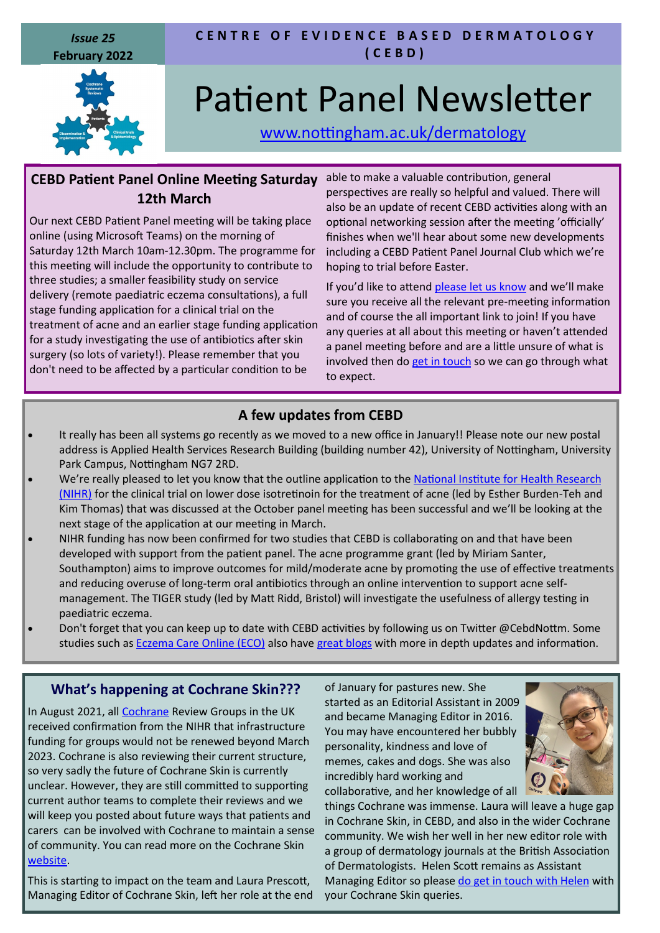*Issue 25* **February 2022**



#### **C E N T R E O F E V I D E N C E B A S E D D E R M A T O L O G Y ( C E B D )**

# Patient Panel Newsletter

[www.nottingham.ac.uk/dermatology](http://www.nottingham.ac.uk/dermatology)

### **CEBD Patient Panel Online Meeting Saturday 12th March**

Our next CEBD Patient Panel meeting will be taking place online (using Microsoft Teams) on the morning of Saturday 12th March 10am-12.30pm. The programme for this meeting will include the opportunity to contribute to three studies; a smaller feasibility study on service delivery (remote paediatric eczema consultations), a full stage funding application for a clinical trial on the treatment of acne and an earlier stage funding application for a study investigating the use of antibiotics after skin surgery (so lots of variety!). Please remember that you don't need to be affected by a particular condition to be

able to make a valuable contribution, general perspectives are really so helpful and valued. There will also be an update of recent CEBD activities along with an optional networking session after the meeting 'officially' finishes when we'll hear about some new developments including a CEBD Patient Panel Journal Club which we're hoping to trial before Easter.

If you'd like to attend [please let us know](mailto:carron.layfield@nottingham.ac.uk) and we'll make sure you receive all the relevant pre-meeting information and of course the all important link to join! If you have any queries at all about this meeting or haven't attended a panel meeting before and are a little unsure of what is involved then do [get in touch](mailto:carron.layfield@nottingham.ac.uk) so we can go through what to expect.

# **A few updates from CEBD**

- It really has been all systems go recently as we moved to a new office in January!! Please note our new postal address is Applied Health Services Research Building (building number 42), University of Nottingham, University Park Campus, Nottingham NG7 2RD.
- We're really pleased to let you know that the outline application to the National Institute for Health Research [\(NIHR\)](https://www.nihr.ac.uk) for the clinical trial on lower dose isotretinoin for the treatment of acne (led by Esther Burden-Teh and Kim Thomas) that was discussed at the October panel meeting has been successful and we'll be looking at the next stage of the application at our meeting in March.
- NIHR funding has now been confirmed for two studies that CEBD is collaborating on and that have been developed with support from the patient panel. The acne programme grant (led by Miriam Santer, Southampton) aims to improve outcomes for mild/moderate acne by promoting the use of effective treatments and reducing overuse of long-term oral antibiotics through an online intervention to support acne selfmanagement. The TIGER study (led by Matt Ridd, Bristol) will investigate the usefulness of allergy testing in paediatric eczema.
- Don't forget that you can keep up to date with CEBD activities by following us on Twitter @CebdNottm. Some studies such as **[Eczema Care Online \(ECO\)](https://www.nottingham.ac.uk/eco/index.aspx)** also have [great blogs](https://www.nottingham.ac.uk/eco/blog.aspx) with more in depth updates and information.

#### **What's happening at Cochrane Skin???**

In August 2021, all [Cochrane](https://www.cochrane.org/) Review Groups in the UK received confirmation from the NIHR that infrastructure funding for groups would not be renewed beyond March 2023. Cochrane is also reviewing their current structure, so very sadly the future of Cochrane Skin is currently unclear. However, they are still committed to supporting current author teams to complete their reviews and we will keep you posted about future ways that patients and carers can be involved with Cochrane to maintain a sense of community. You can read more on the Cochrane Skin [website.](https://skin.cochrane.org/)

This is starting to impact on the team and Laura Prescott, Managing Editor of Cochrane Skin, left her role at the end of January for pastures new. She started as an Editorial Assistant in 2009 and became Managing Editor in 2016. You may have encountered her bubbly personality, kindness and love of memes, cakes and dogs. She was also incredibly hard working and collaborative, and her knowledge of all



things Cochrane was immense. Laura will leave a huge gap in Cochrane Skin, in CEBD, and also in the wider Cochrane community. We wish her well in her new editor role with a group of dermatology journals at the British Association of Dermatologists. Helen Scott remains as Assistant Managing Editor so please [do get in touch with Helen](mailto:csg@nottingham.ac.uk) with your Cochrane Skin queries.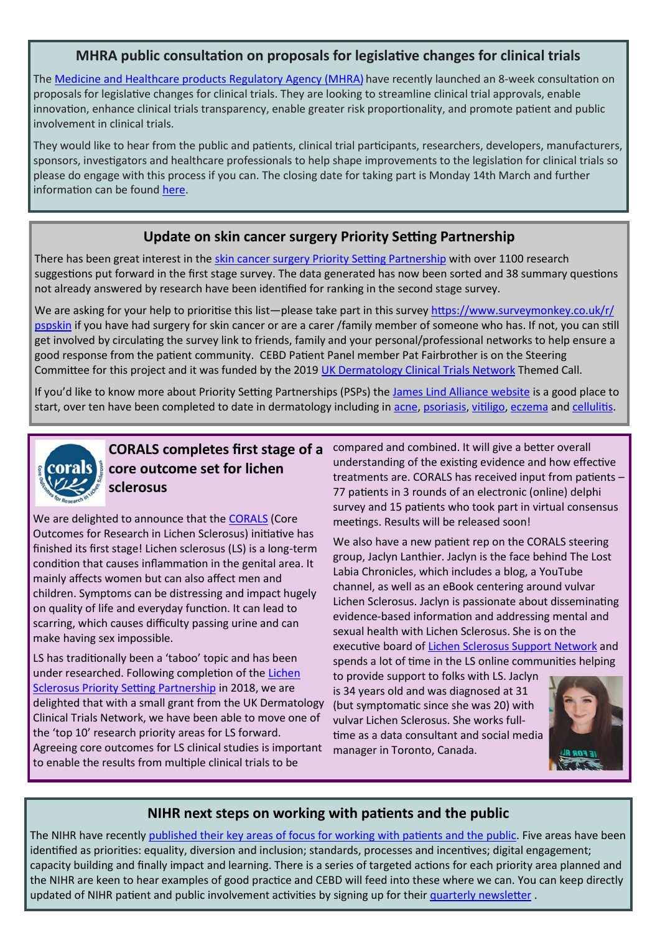#### **MHRA public consultation on proposals for legislative changes for clinical trials**

The [Medicine and Healthcare products Regulatory Agency \(MHRA\)](https://www.gov.uk/government/organisations/medicines-and-healthcare-products-regulatory-agency) have recently launched an 8-week consultation on proposals for legislative changes for clinical trials. They are looking to streamline clinical trial approvals, enable innovation, enhance clinical trials transparency, enable greater risk proportionality, and promote patient and public involvement in clinical trials.

They would like to hear from the public and patients, clinical trial participants, researchers, developers, manufacturers, sponsors, investigators and healthcare professionals to help shape improvements to the legislation for clinical trials so please do engage with this process if you can. The closing date for taking part is Monday 14th March and further information can be found [here.](https://www.gov.uk/government/consultations/consultation-on-proposals-for-legislative-changes-for-clinical-trials)

#### **Update on skin cancer surgery Priority Setting Partnership**

There has been great interest in the [skin cancer surgery Priority Setting Partnership](https://www.skinsurgerytrials.org/?page_id=16) with over 1100 research suggestions put forward in the first stage survey. The data generated has now been sorted and 38 summary questions not already answered by research have been identified for ranking in the second stage survey.

We are asking for your help to prioritise this list—please take part in this survey [https://www.surveymonkey.co.uk/r/](https://www.surveymonkey.co.uk/r/pspskin) [pspskin](https://www.surveymonkey.co.uk/r/pspskin) if you have had surgery for skin cancer or are a carer /family member of someone who has. If not, you can still get involved by circulating the survey link to friends, family and your personal/professional networks to help ensure a good response from the patient community. CEBD Patient Panel member Pat Fairbrother is on the Steering Committee for this project and it was funded by the 2019 [UK Dermatology Clinical Trials Network](http://www.ukdctn.org/) Themed Call.

If you'd like to know more about Priority Setting Partnerships (PSPs) the [James Lind Alliance website](https://www.jla.nihr.ac.uk/) is a good place to start, over ten have been completed to date in dermatology including in [acne,](https://www.jla.nihr.ac.uk/priority-setting-partnerships/acne/top-10-priorities/) [psoriasis,](https://www.jla.nihr.ac.uk/priority-setting-partnerships/psoriasis/top-10-priorities.htm) [vitiligo,](https://www.jla.nihr.ac.uk/priority-setting-partnerships/vitiligo/top-10-priorities/) [eczema](https://www.jla.nihr.ac.uk/priority-setting-partnerships/eczema/top-10-priorities/) and [cellulitis.](https://www.jla.nihr.ac.uk/priority-setting-partnerships/cellulitis/top-10-priorities.htm)



## **CORALS completes first stage of a core outcome set for lichen sclerosus**

We are delighted to announce that the [CORALS](https://www.nottingham.ac.uk/research/groups/cebd/projects/5rareandother/corals.aspx) (Core Outcomes for Research in Lichen Sclerosus) initiative has finished its first stage! Lichen sclerosus (LS) is a long-term condition that causes inflammation in the genital area. It mainly affects women but can also affect men and children. Symptoms can be distressing and impact hugely on quality of life and everyday function. It can lead to scarring, which causes difficulty passing urine and can make having sex impossible.

LS has traditionally been a 'taboo' topic and has been under researched. Following completion of the [Lichen](https://www.jla.nihr.ac.uk/priority-setting-partnerships/lichen-sclerosus/)  [Sclerosus Priority Setting Partnership](https://www.jla.nihr.ac.uk/priority-setting-partnerships/lichen-sclerosus/) in 2018, we are delighted that with a small grant from the UK Dermatology Clinical Trials Network, we have been able to move one of the 'top 10' research priority areas for LS forward. Agreeing core outcomes for LS clinical studies is important to enable the results from multiple clinical trials to be

compared and combined. It will give a better overall understanding of the existing evidence and how effective treatments are. CORALS has received input from patients – 77 patients in 3 rounds of an electronic (online) delphi survey and 15 patients who took part in virtual consensus meetings. Results will be released soon!

We also have a new patient rep on the CORALS steering group, Jaclyn Lanthier. Jaclyn is the face behind The Lost Labia Chronicles, which includes a blog, a YouTube channel, as well as an eBook centering around vulvar Lichen Sclerosus. Jaclyn is passionate about disseminating evidence-based information and addressing mental and sexual health with Lichen Sclerosus. She is on the executive board of [Lichen Sclerosus Support Network](http://www.lssupport.net) and spends a lot of time in the LS online communities helping

to provide support to folks with LS. Jaclyn is 34 years old and was diagnosed at 31 (but symptomatic since she was 20) with vulvar Lichen Sclerosus. She works fulltime as a data consultant and social media manager in Toronto, Canada.



#### **NIHR next steps on working with patients and the public**

The NIHR have recently [published their key areas of focus for working with patients and the public.](https://www.nihr.ac.uk/documents/next-steps-for-partnership-working-with-patients-and-the-public-engagement-report/28566) Five areas have been identified as priorities: equality, diversion and inclusion; standards, processes and incentives; digital engagement; capacity building and finally impact and learning. There is a series of targeted actions for each priority area planned and the NIHR are keen to hear examples of good practice and CEBD will feed into these where we can. You can keep directly updated of NIHR patient and public involvement activities by signing up for their [quarterly newsletter](https://nihr.us14.list-manage.com/subscribe?u=299dc02111e8a68172029095f&id=3b030a1027) .